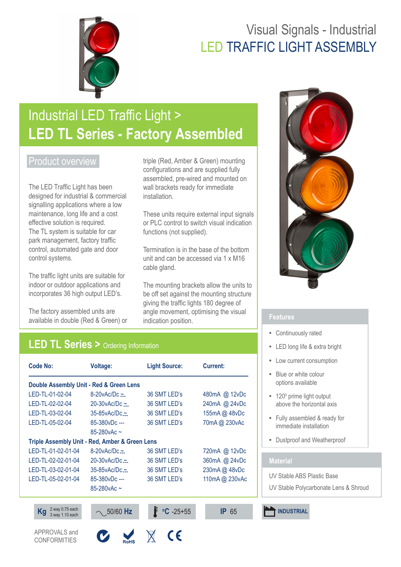## Visual Signals - Industrial LED TRAFFIC LIGHT ASSEMBLY



# Industrial LED Traffic Light > **LED TL Series - Factory Assembled**

### Product overview

The LED Traffic Light has been designed for industrial & commercial signalling applications where a low maintenance, long life and a cost effective solution is required. The TL system is suitable for car park management, factory traffic control, automated gate and door control systems.

The traffic light units are suitable for indoor or outdoor applications and incorporates 36 high output LED's.

The factory assembled units are available in double (Red & Green) or

**CONFORMITIES** 

triple (Red, Amber & Green) mounting configurations and are supplied fully assembled, pre-wired and mounted on wall brackets ready for immediate installation.

These units require external input signals or PLC control to switch visual indication functions (not supplied).

Termination is in the base of the bottom unit and can be accessed via 1 x M16 cable gland.

The mounting brackets allow the units to be off set against the mounting structure giving the traffic lights 180 degree of angle movement, optimising the visual indication position.

## **LED TL Series >** Ordering Information

| <b>Code No:</b>                                | <b>Voltage:</b>           | <b>Light Source:</b>        | <b>Current:</b> |
|------------------------------------------------|---------------------------|-----------------------------|-----------------|
| Double Assembly Unit - Red & Green Lens        |                           |                             |                 |
| LED-TL-01-02-04                                | $8-20$ v $Ac/DC \simeq$   | 36 SMT LED's                | 480mA @ 12vDc   |
| LED-TL-02-02-04                                | 20-30 $v$ Ac/Dc $\approx$ | 36 SMT LED's                | 240mA @ 24vDc   |
| LED-TL-03-02-04                                | $35-85$ vAc/Dc $\sim$     | 36 SMT LED's                | 155mA @ 48vDc   |
| LED-TL-05-02-04                                | 85-380vDc ---             | 36 SMT LED's                | 70mA @ 230vAc   |
|                                                | 85-280 $v$ Ac ~           |                             |                 |
| Triple Assembly Unit - Red, Amber & Green Lens |                           |                             |                 |
| LED-TL-01-02-01-04                             | $8-20$ vAc/Dc $\approx$   | 36 SMT LED's                | 720mA @ 12vDc   |
| LED-TL-02-02-01-04                             | $20-30$ v $Ac/DC \sim$    | 36 SMT LED's                | 360mA @ 24vDc   |
| LED-TL-03-02-01-04                             | $35 - 85$ v $Ac/DC \sim$  | 36 SMT LED's                | 230mA @ 48vDc   |
| LED-TL-05-02-01-04                             | 85-380vDc ---             | 36 SMT LED's                | 110mA @ 230vAc  |
|                                                | 85-280 vAc $\sim$         |                             |                 |
|                                                |                           |                             |                 |
| 2 way 0.75 each<br>Κg<br>3 way 1.10 each       | $\sim$ 50/60 Hz           | $\mathrm{^{\circ}C}$ -25+55 | <b>IP 65</b>    |
| APPROVALS and<br>CONFORMITIES                  |                           | €                           |                 |

**ROHS** 



- **•**  Continuously rated
- **•**  LED long life & extra bright
- **•**  Low current consumption
- **•**  Blue or white colour options available
- 120<sup>0</sup> prime light output above the horizontal axis
- **•**  Fully assembled & ready for immediate installation
- **•**  Dustproof and Weatherproof

### **Material**

UV Stable ABS Plastic Base

UV Stable Polycarbonate Lens & Shroud

**INDUSTRIAL**